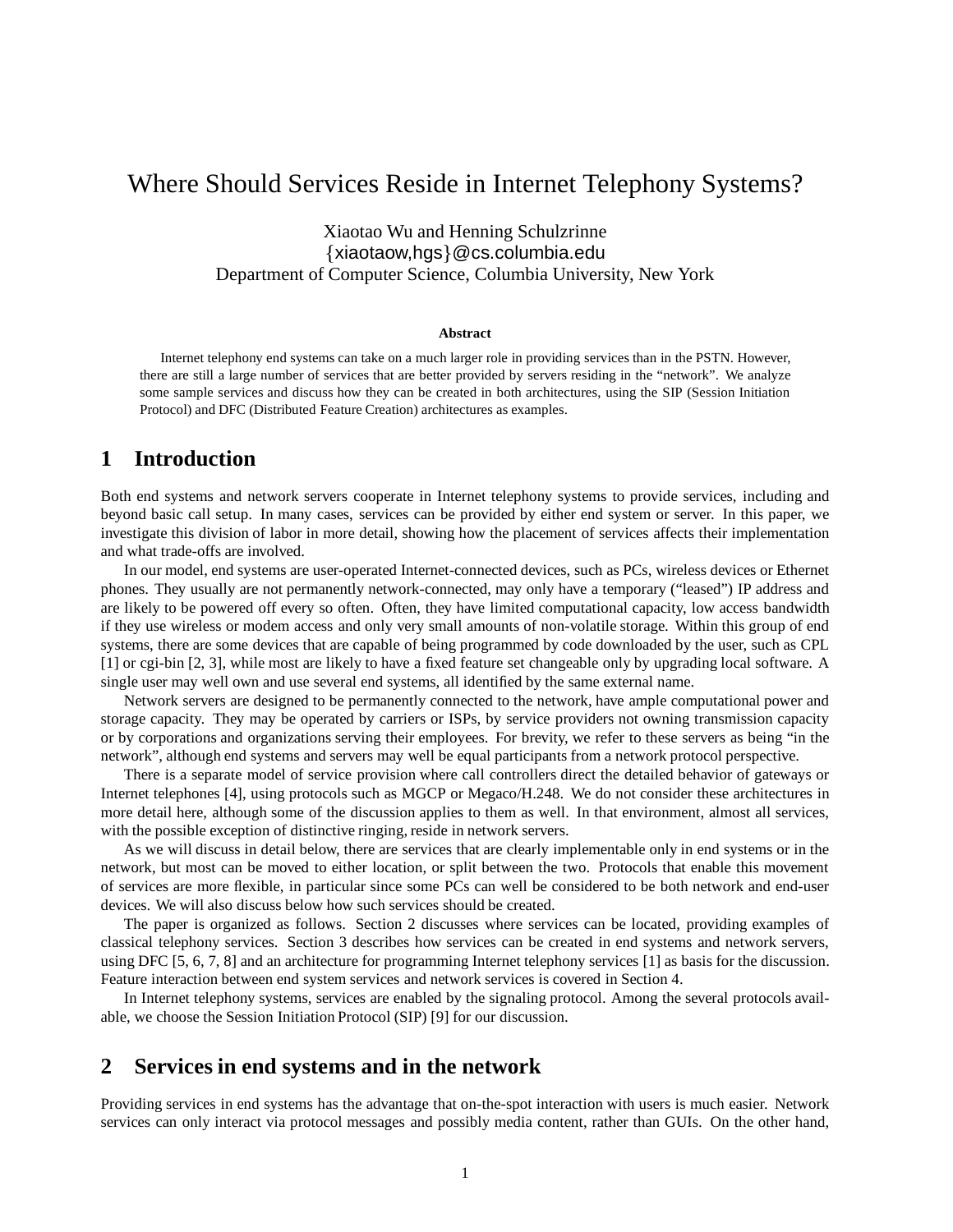# Where Should Services Reside in Internet Telephony Systems?

Xiaotao Wu and Henning Schulzrinne  $\{xiaotaow, hgs\}$ @cs.columbia.edu Department of Computer Science, Columbia University, New York

#### **Abstract**

Internet telephony end systems can take on a much larger role in providing services than in the PSTN. However, there are still a large number of services that are better provided by servers residing in the "network". We analyze some sample services and discuss how they can be created in both architectures, using the SIP (Session Initiation Protocol) and DFC (Distributed Feature Creation) architectures as examples.

### **1 Introduction**

Both end systems and network servers cooperate in Internet telephony systems to provide services, including and beyond basic call setup. In many cases, services can be provided by either end system or server. In this paper, we investigate this division of labor in more detail, showing how the placement of services affects their implementation and what trade-offs are involved.

In our model, end systems are user-operated Internet-connected devices, such as PCs, wireless devices or Ethernet phones. They usually are not permanently network-connected, may only have a temporary ("leased") IP address and are likely to be powered off every so often. Often, they have limited computational capacity, low access bandwidth if they use wireless or modem access and only very small amounts of non-volatile storage. Within this group of end systems, there are some devices that are capable of being programmed by code downloaded by the user, such as CPL [1] or cgi-bin [2, 3], while most are likely to have a fixed feature set changeable only by upgrading local software. A single user may well own and use several end systems, all identified by the same external name.

Network servers are designed to be permanently connected to the network, have ample computational power and storage capacity. They may be operated by carriers or ISPs, by service providers not owning transmission capacity or by corporations and organizations serving their employees. For brevity, we refer to these servers as being "in the network", although end systems and servers may well be equal participants from a network protocol perspective.

There is a separate model of service provision where call controllers direct the detailed behavior of gateways or Internet telephones [4], using protocols such as MGCP or Megaco/H.248. We do not consider these architectures in more detail here, although some of the discussion applies to them as well. In that environment, almost all services, with the possible exception of distinctive ringing, reside in network servers.

As we will discuss in detail below, there are services that are clearly implementable only in end systems or in the network, but most can be moved to either location, or split between the two. Protocols that enable this movement of services are more flexible, in particular since some PCs can well be considered to be both network and end-user devices. We will also discuss below how such services should be created.

The paper is organized as follows. Section 2 discusses where services can be located, providing examples of classical telephony services. Section 3 describes how services can be created in end systems and network servers, using DFC [5, 6, 7, 8] and an architecture for programming Internet telephony services [1] as basis for the discussion. Feature interaction between end system services and network services is covered in Section 4.

In Internet telephony systems, services are enabled by the signaling protocol. Among the several protocols available, we choose the Session Initiation Protocol (SIP) [9] for our discussion.

### **2 Services in end systems and in the network**

Providing services in end systems has the advantage that on-the-spot interaction with users is much easier. Network services can only interact via protocol messages and possibly media content, rather than GUIs. On the other hand,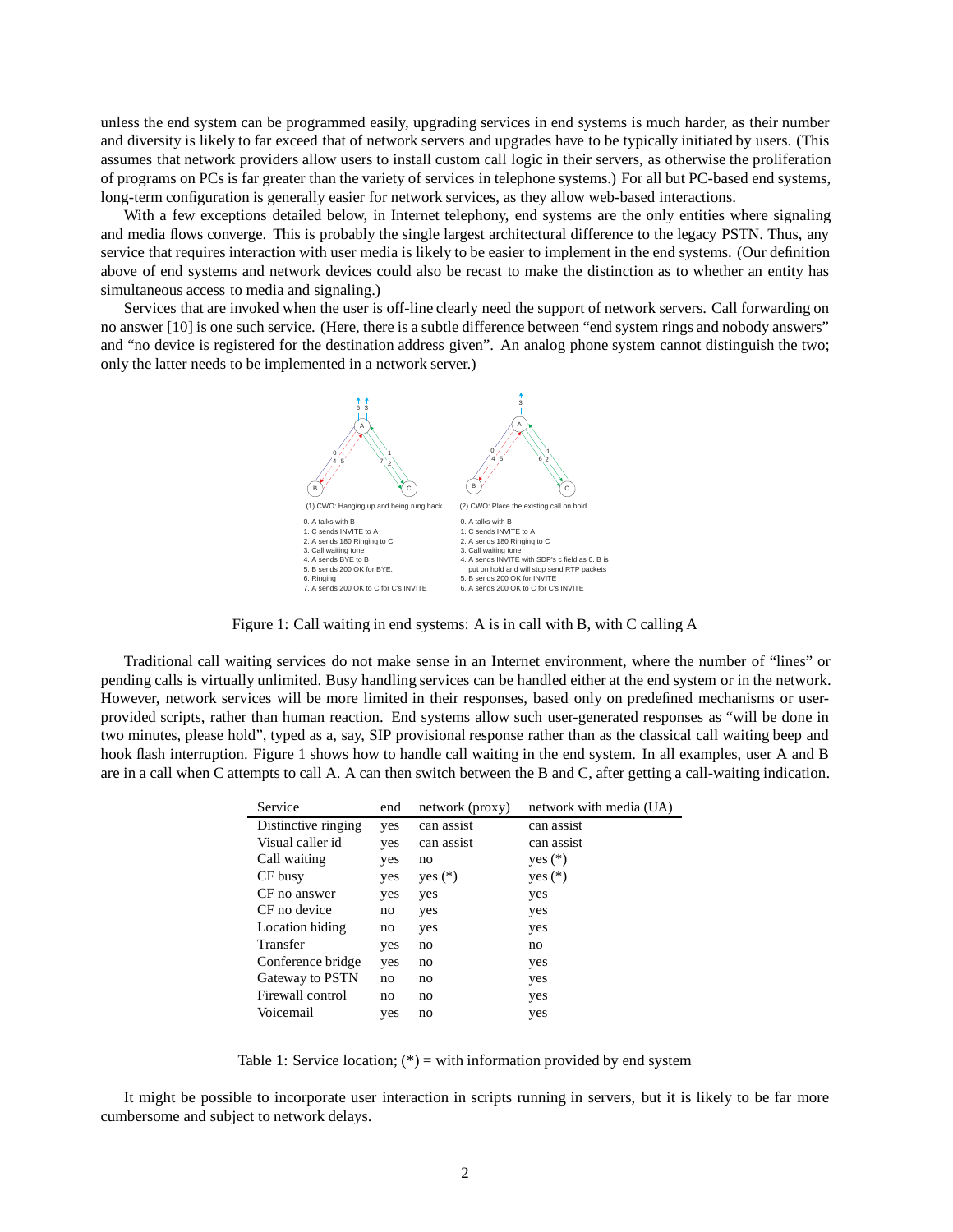unless the end system can be programmed easily, upgrading services in end systems is much harder, as their number and diversity is likely to far exceed that of network servers and upgrades have to be typically initiated by users. (This assumes that network providers allow users to install custom call logic in their servers, as otherwise the proliferation of programs on PCs is far greater than the variety of services in telephone systems.) For all but PC-based end systems, long-term configuration is generally easier for network services, as they allow web-based interactions.

With a few exceptions detailed below, in Internet telephony, end systems are the only entities where signaling and media flows converge. This is probably the single largest architectural difference to the legacy PSTN. Thus, any service that requires interaction with user media is likely to be easier to implement in the end systems. (Our definition above of end systems and network devices could also be recast to make the distinction as to whether an entity has simultaneous access to media and signaling.)

Services that are invoked when the user is off-line clearly need the support of network servers. Call forwarding on no answer [10] is one such service. (Here, there is a subtle difference between "end system rings and nobody answers" and "no device is registered for the destination address given". An analog phone system cannot distinguish the two; only the latter needs to be implemented in a network server.)



Figure 1: Call waiting in end systems: A is in call with B, with C calling A

Traditional call waiting services do not make sense in an Internet environment, where the number of "lines" or pending calls is virtually unlimited. Busy handling services can be handled either at the end system or in the network. However, network services will be more limited in their responses, based only on predefined mechanisms or userprovided scripts, rather than human reaction. End systems allow such user-generated responses as "will be done in two minutes, please hold", typed as a, say, SIP provisional response rather than as the classical call waiting beep and hook flash interruption. Figure 1 shows how to handle call waiting in the end system. In all examples, user A and B are in a call when C attempts to call A. A can then switch between the B and C, after getting a call-waiting indication.

| Service             | end | network (proxy) | network with media (UA) |
|---------------------|-----|-----------------|-------------------------|
| Distinctive ringing | yes | can assist      | can assist              |
| Visual caller id    | yes | can assist      | can assist              |
| Call waiting        | yes | no              | yes $(*)$               |
| CF busy             | yes | yes $(*)$       | yes $(*)$               |
| CF no answer        | yes | yes             | yes                     |
| CF no device        | no  | yes             | yes                     |
| Location hiding     | no  | yes             | yes                     |
| Transfer            | yes | no              | no                      |
| Conference bridge   | yes | no              | yes                     |
| Gateway to PSTN     | no  | no              | yes                     |
| Firewall control    | no  | no              | yes                     |
| Voicemail           | yes | no              | yes                     |

Table 1: Service location;  $(*)$  = with information provided by end system

It might be possible to incorporate user interaction in scripts running in servers, but it is likely to be far more cumbersome and subject to network delays.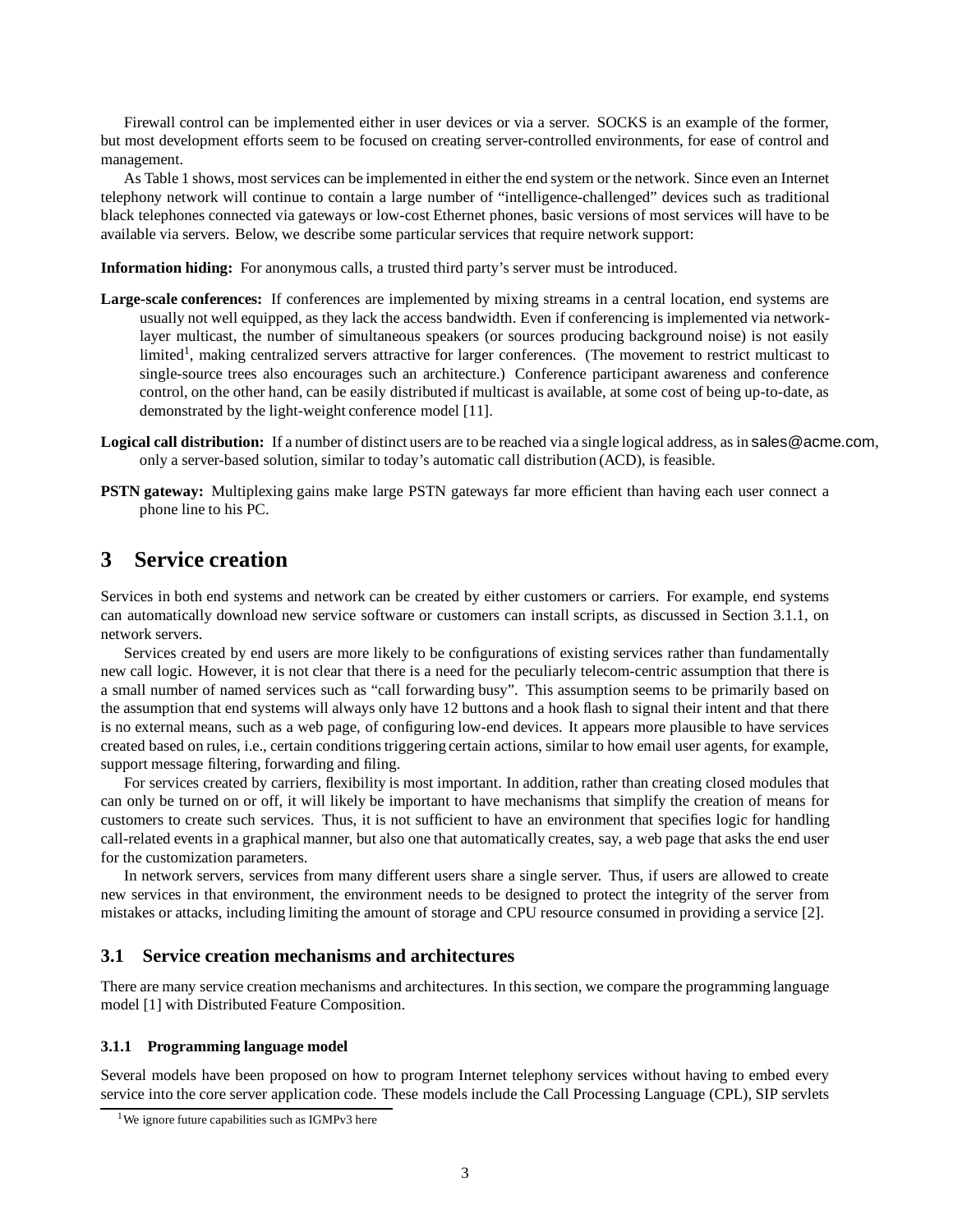Firewall control can be implemented either in user devices or via a server. SOCKS is an example of the former, but most development efforts seem to be focused on creating server-controlled environments, for ease of control and management.

As Table 1 shows, most services can be implemented in either the end system or the network. Since even an Internet telephony network will continue to contain a large number of "intelligence-challenged" devices such as traditional black telephones connected via gateways or low-cost Ethernet phones, basic versions of most services will have to be available via servers. Below, we describe some particular services that require network support:

**Information hiding:** For anonymous calls, a trusted third party's server must be introduced.

- **Large-scale conferences:** If conferences are implemented by mixing streams in a central location, end systems are usually not well equipped, as they lack the access bandwidth. Even if conferencing is implemented via networklayer multicast, the number of simultaneous speakers (or sources producing background noise) is not easily limited<sup>1</sup>, making centralized servers attractive for larger conferences. (The movement to restrict multicast to single-source trees also encourages such an architecture.) Conference participant awareness and conference control, on the other hand, can be easily distributed if multicast is available, at some cost of being up-to-date, as demonstrated by the light-weight conference model [11].
- **Logical call distribution:** If a number of distinct users are to be reached via a single logical address, as in sales@acme.com, only a server-based solution, similar to today's automatic call distribution (ACD), is feasible.
- **PSTN gateway:** Multiplexing gains make large PSTN gateways far more efficient than having each user connect a phone line to his PC.

## **3 Service creation**

Services in both end systems and network can be created by either customers or carriers. For example, end systems can automatically download new service software or customers can install scripts, as discussed in Section 3.1.1, on network servers.

Services created by end users are more likely to be configurations of existing services rather than fundamentally new call logic. However, it is not clear that there is a need for the peculiarly telecom-centric assumption that there is a small number of named services such as "call forwarding busy". This assumption seems to be primarily based on the assumption that end systems will always only have 12 buttons and a hook flash to signal their intent and that there is no external means, such as a web page, of configuring low-end devices. It appears more plausible to have services created based on rules, i.e., certain conditions triggering certain actions, similar to how email user agents, for example, support message filtering, forwarding and filing.

For services created by carriers, flexibility is most important. In addition, rather than creating closed modules that can only be turned on or off, it will likely be important to have mechanisms that simplify the creation of means for customers to create such services. Thus, it is not sufficient to have an environment that specifies logic for handling call-related events in a graphical manner, but also one that automatically creates, say, a web page that asks the end user for the customization parameters.

In network servers, services from many different users share a single server. Thus, if users are allowed to create new services in that environment, the environment needs to be designed to protect the integrity of the server from mistakes or attacks, including limiting the amount of storage and CPU resource consumed in providing a service [2].

#### **3.1 Service creation mechanisms and architectures**

There are many service creation mechanisms and architectures. In this section, we compare the programming language model [1] with Distributed Feature Composition.

#### **3.1.1 Programming language model**

Several models have been proposed on how to program Internet telephony services without having to embed every service into the core server application code. These models include the Call Processing Language (CPL), SIP servlets

<sup>&</sup>lt;sup>1</sup>We ignore future capabilities such as IGMPv3 here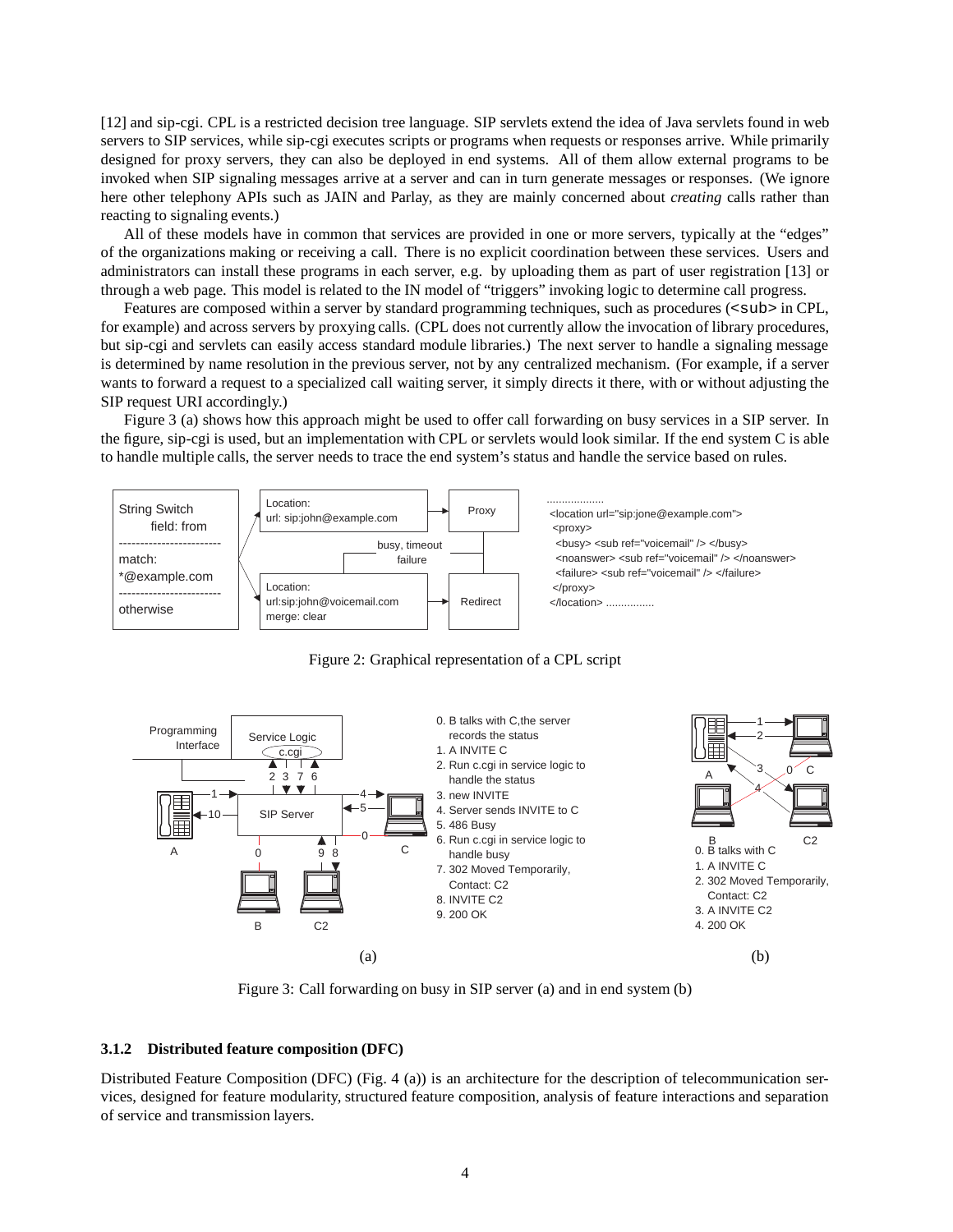[12] and sip-cgi. CPL is a restricted decision tree language. SIP servlets extend the idea of Java servlets found in web servers to SIP services, while sip-cgi executes scripts or programs when requests or responses arrive. While primarily designed for proxy servers, they can also be deployed in end systems. All of them allow external programs to be invoked when SIP signaling messages arrive at a server and can in turn generate messages or responses. (We ignore here other telephony APIs such as JAIN and Parlay, as they are mainly concerned about *creating* calls rather than reacting to signaling events.)

All of these models have in common that services are provided in one or more servers, typically at the "edges" of the organizations making or receiving a call. There is no explicit coordination between these services. Users and administrators can install these programs in each server, e.g. by uploading them as part of user registration [13] or through a web page. This model is related to the IN model of "triggers" invoking logic to determine call progress.

Features are composed within a server by standard programming techniques, such as procedures ( $\langle \text{sub} \rangle$  in CPL, for example) and across servers by proxying calls. (CPL does not currently allow the invocation of library procedures, but sip-cgi and servlets can easily access standard module libraries.) The next server to handle a signaling message is determined by name resolution in the previous server, not by any centralized mechanism. (For example, if a server wants to forward a request to a specialized call waiting server, it simply directs it there, with or without adjusting the SIP request URI accordingly.)

Figure 3 (a) shows how this approach might be used to offer call forwarding on busy services in a SIP server. In the figure, sip-cgi is used, but an implementation with CPL or servlets would look similar. If the end system C is able to handle multiple calls, the server needs to trace the end system's status and handle the service based on rules.







Figure 3: Call forwarding on busy in SIP server (a) and in end system (b)

#### **3.1.2 Distributed feature composition (DFC)**

Distributed Feature Composition (DFC) (Fig. 4 (a)) is an architecture for the description of telecommunication services, designed for feature modularity, structured feature composition, analysis of feature interactions and separation of service and transmission layers.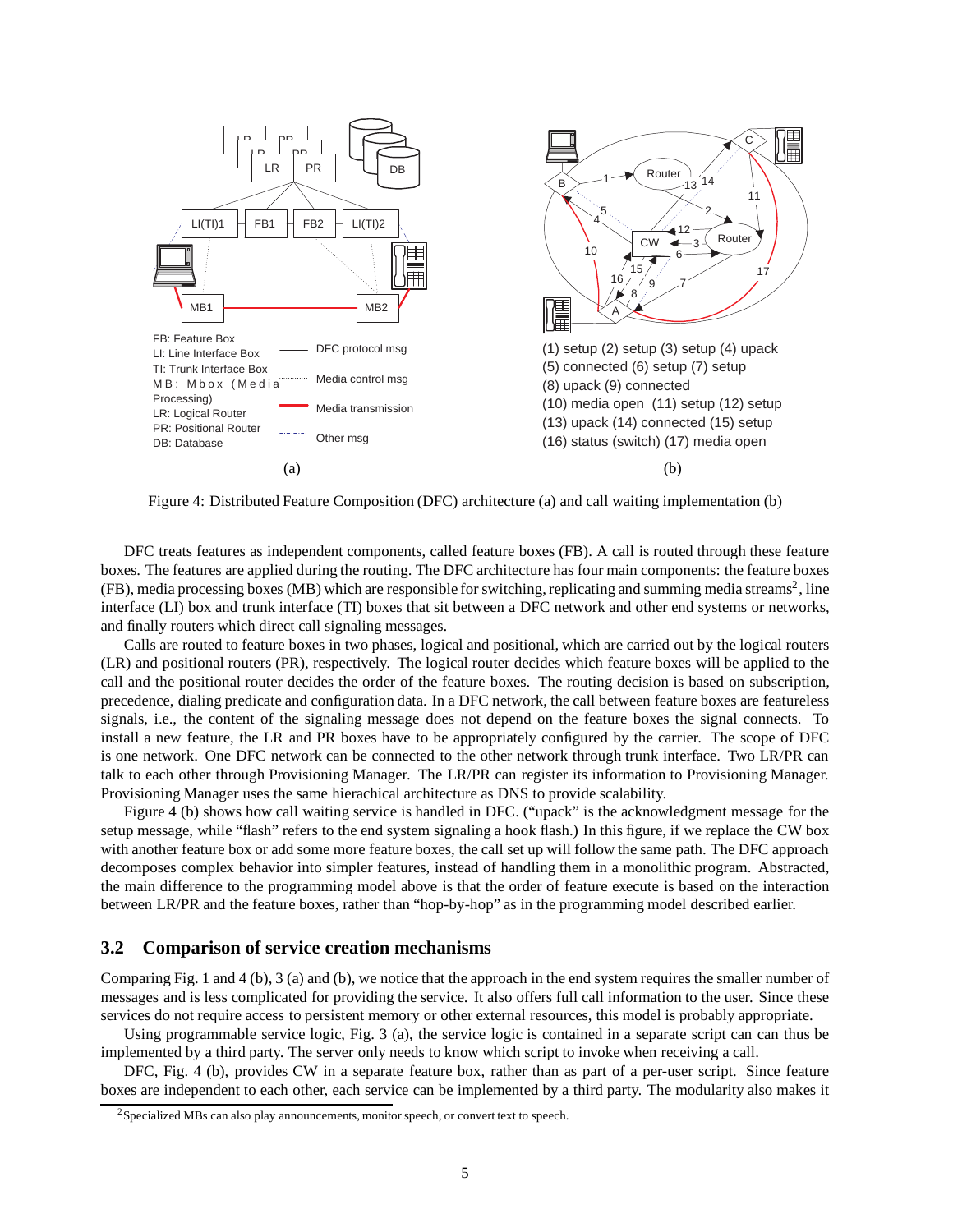

Figure 4: Distributed Feature Composition (DFC) architecture (a) and call waiting implementation (b)

DFC treats features as independent components, called feature boxes (FB). A call is routed through these feature boxes. The features are applied during the routing. The DFC architecture has four main components: the feature boxes (FB), media processing boxes (MB) which are responsible for switching, replicating and summing media streams2, line interface (LI) box and trunk interface (TI) boxes that sit between a DFC network and other end systems or networks, and finally routers which direct call signaling messages.

Calls are routed to feature boxes in two phases, logical and positional, which are carried out by the logical routers (LR) and positional routers (PR), respectively. The logical router decides which feature boxes will be applied to the call and the positional router decides the order of the feature boxes. The routing decision is based on subscription, precedence, dialing predicate and configuration data. In a DFC network, the call between feature boxes are featureless signals, i.e., the content of the signaling message does not depend on the feature boxes the signal connects. To install a new feature, the LR and PR boxes have to be appropriately configured by the carrier. The scope of DFC is one network. One DFC network can be connected to the other network through trunk interface. Two LR/PR can talk to each other through Provisioning Manager. The LR/PR can register its information to Provisioning Manager. Provisioning Manager uses the same hierachical architecture as DNS to provide scalability.

Figure 4 (b) shows how call waiting service is handled in DFC. ("upack" is the acknowledgment message for the setup message, while "flash" refers to the end system signaling a hook flash.) In this figure, if we replace the CW box with another feature box or add some more feature boxes, the call set up will follow the same path. The DFC approach decomposes complex behavior into simpler features, instead of handling them in a monolithic program. Abstracted, the main difference to the programming model above is that the order of feature execute is based on the interaction between LR/PR and the feature boxes, rather than "hop-by-hop" as in the programming model described earlier.

#### **3.2 Comparison of service creation mechanisms**

Comparing Fig. 1 and 4 (b), 3 (a) and (b), we notice that the approach in the end system requires the smaller number of messages and is less complicated for providing the service. It also offers full call information to the user. Since these services do not require access to persistent memory or other external resources, this model is probably appropriate.

Using programmable service logic, Fig. 3 (a), the service logic is contained in a separate script can can thus be implemented by a third party. The server only needs to know which script to invoke when receiving a call.

DFC, Fig. 4 (b), provides CW in a separate feature box, rather than as part of a per-user script. Since feature boxes are independent to each other, each service can be implemented by a third party. The modularity also makes it

 $2$ Specialized MBs can also play announcements, monitor speech, or convert text to speech.